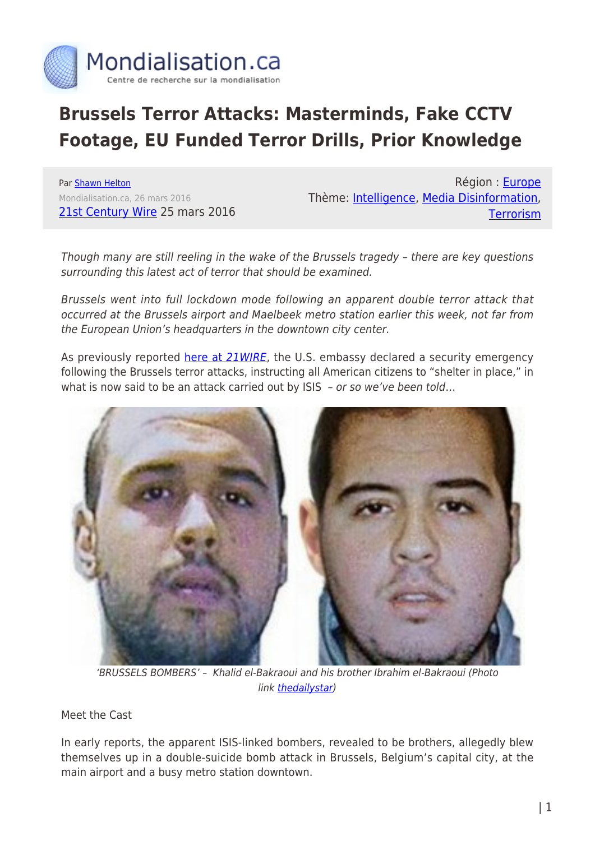

## **Brussels Terror Attacks: Masterminds, Fake CCTV Footage, EU Funded Terror Drills, Prior Knowledge**

Par [Shawn Helton](https://www.mondialisation.ca/author/shawn-helton) Mondialisation.ca, 26 mars 2016 [21st Century Wire](http://21stcenturywire.com/2016/03/25/brussels-terrordrome-masterminds-fake-cctv-footage-eu-funded-terror-drills-prior-knowledge/) 25 mars 2016

Région : [Europe](https://www.mondialisation.ca/region/europe) Thème: [Intelligence,](https://www.mondialisation.ca/theme/intelligence) [Media Disinformation](https://www.mondialisation.ca/theme/media-disinformation), **[Terrorism](https://www.mondialisation.ca/theme/9-11-war-on-terrorism)** 

Though many are still reeling in the wake of the Brussels tragedy – there are key questions surrounding this latest act of terror that should be examined.

Brussels went into full lockdown mode following an apparent double terror attack that occurred at the Brussels airport and Maelbeek metro station earlier this week, not far from the European Union's headquarters in the downtown city center.

As previously reported [here at](http://21stcenturywire.com/2016/03/22/police-state-lock-down-terrorist-bombing-strikes-brussels-airport-and-subway/) [21WIRE](http://21stcenturywire.com/2016/03/22/police-state-lock-down-terrorist-bombing-strikes-brussels-airport-and-subway/), the U.S. embassy declared a security emergency following the Brussels terror attacks, instructing all American citizens to "shelter in place," in what is now said to be an attack carried out by ISIS - or so we've been told...



'BRUSSELS BOMBERS' – Khalid el-Bakraoui and his brother Ibrahim el-Bakraoui (Photo link [thedailystar](http://www.thedailystar.net/sites/default/files/styles/medium_4/public/feature/images/brussels_attack.jpg?itok=rLRzlSAZ&c=985016bf2e8c04e4e2d123f84414de50))

Meet the Cast

In early reports, the apparent ISIS-linked bombers, revealed to be brothers, allegedly blew themselves up in a double-suicide bomb attack in Brussels, Belgium's capital city, at the main airport and a busy metro station downtown.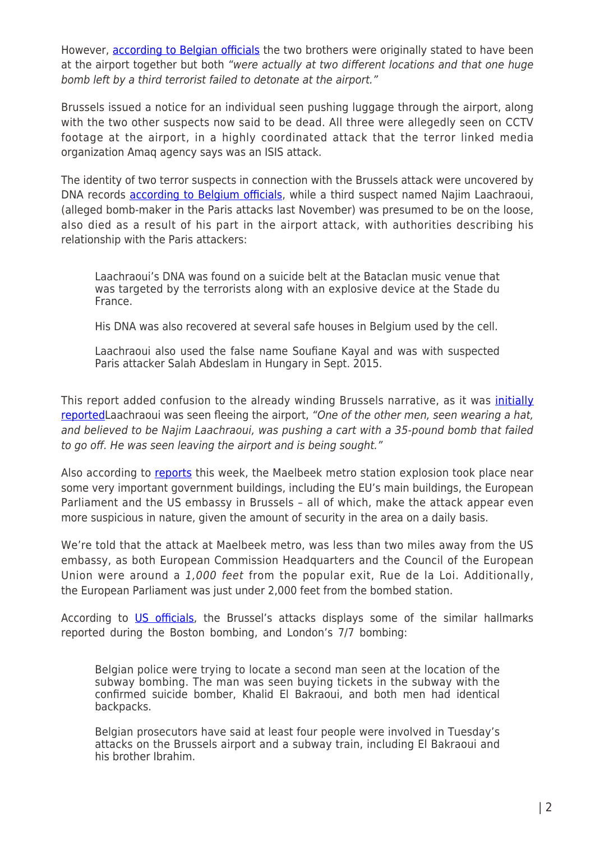However, [according to Belgian officials](http://www.king5.com/news/nation-now/third-suspect-arrested-in-beglium-bombing/97986363) the two brothers were originally stated to have been at the airport together but both "were actually at two different locations and that one huge bomb left by a third terrorist failed to detonate at the airport."

Brussels issued a notice for an individual seen pushing luggage through the airport, along with the two other suspects now said to be dead. All three were allegedly seen on CCTV footage at the airport, in a highly coordinated attack that the terror linked media organization Amaq agency says was an ISIS attack.

The identity of two terror suspects in connection with the Brussels attack were uncovered by DNA records **[according to Belgium officials](http://www.nbcnews.com/storyline/brussels-attacks/suspected-paris-bomb-maker-najim-laachraoui-was-brussels-attacker-n545521)**, while a third suspect named Najim Laachraoui, (alleged bomb-maker in the Paris attacks last November) was presumed to be on the loose, also died as a result of his part in the airport attack, with authorities describing his relationship with the Paris attackers:

Laachraoui's DNA was found on a suicide belt at the Bataclan music venue that was targeted by the terrorists along with an explosive device at the Stade du France.

His DNA was also recovered at several safe houses in Belgium used by the cell.

Laachraoui also used the false name Soufiane Kayal and was with suspected Paris attacker Salah Abdeslam in Hungary in Sept. 2015.

This report added confusion to the already winding Brussels narrative, as it was [initially](http://www.king5.com/news/nation-now/third-suspect-arrested-in-beglium-bombing/97986363) [reported](http://www.king5.com/news/nation-now/third-suspect-arrested-in-beglium-bombing/97986363) Laachraoui was seen fleeing the airport, "One of the other men, seen wearing a hat, and believed to be Najim Laachraoui, was pushing a cart with a 35-pound bomb that failed to go off. He was seen leaving the airport and is being sought."

Also according to [reports](http://www.bustle.com/articles/149320-where-is-the-maelbeek-subway-station-the-brussels-attack-site-is-close-to-eu-headquarters) this week, the Maelbeek metro station explosion took place near some very important government buildings, including the EU's main buildings, the European Parliament and the US embassy in Brussels – all of which, make the attack appear even more suspicious in nature, given the amount of security in the area on a daily basis.

We're told that the attack at Maelbeek metro, was less than two miles away from the US embassy, as both European Commission Headquarters and the Council of the European Union were around a 1,000 feet from the popular exit, Rue de la Loi. Additionally, the European Parliament was just under 2,000 feet from the bombed station.

According to [US officials](http://www.cbsnews.com/news/brussels-attacks-concerns-isis-operatives-terror-plots/), the Brussel's attacks displays some of the similar hallmarks reported during the Boston bombing, and London's 7/7 bombing:

Belgian police were trying to locate a second man seen at the location of the subway bombing. The man was seen buying tickets in the subway with the confirmed suicide bomber, Khalid El Bakraoui, and both men had identical backpacks.

Belgian prosecutors have said at least four people were involved in Tuesday's attacks on the Brussels airport and a subway train, including El Bakraoui and his brother Ibrahim.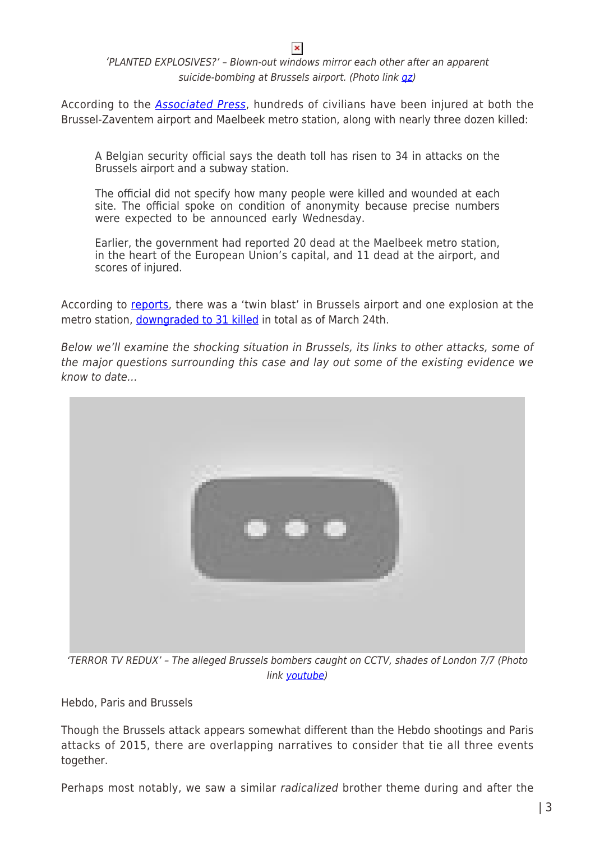## 'PLANTED EXPLOSIVES?' – Blown-out windows mirror each other after an apparent suicide-bombing at Brussels airport. (Photo link  $qz$ )

 $\pmb{\times}$ 

According to the [Associated Press](http://abcnews.go.com/International/wireStory/latest-death-reported-brussels-airport-37832109), hundreds of civilians have been injured at both the Brussel-Zaventem airport and Maelbeek metro station, along with nearly three dozen killed:

A Belgian security official says the death toll has risen to 34 in attacks on the Brussels airport and a subway station.

The official did not specify how many people were killed and wounded at each site. The official spoke on condition of anonymity because precise numbers were expected to be announced early Wednesday.

Earlier, the government had reported 20 dead at the Maelbeek metro station, in the heart of the European Union's capital, and 11 dead at the airport, and scores of injured.

According to [reports,](http://www.bbc.com/news/world-europe-35869254) there was a 'twin blast' in Brussels airport and one explosion at the metro station, [downgraded to 31 killed](http://www.cbsnews.com/news/brussels-attacks-concerns-isis-operatives-terror-plots/) in total as of March 24th.

Below we'll examine the shocking situation in Brussels, its links to other attacks, some of the major questions surrounding this case and lay out some of the existing evidence we know to date…



'TERROR TV REDUX' – The alleged Brussels bombers caught on CCTV, shades of London 7/7 (Photo link [youtube\)](https://i.ytimg.com/vi/4L2YjOQNAbY/maxresdefault.jpg)

Hebdo, Paris and Brussels

Though the Brussels attack appears somewhat different than the Hebdo shootings and Paris attacks of 2015, there are overlapping narratives to consider that tie all three events together.

Perhaps most notably, we saw a similar radicalized brother theme during and after the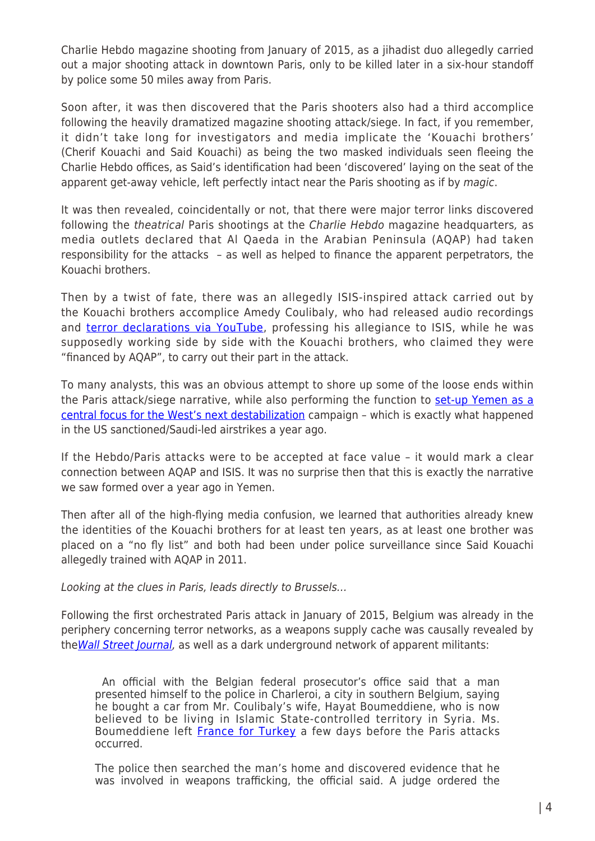Charlie Hebdo magazine shooting from January of 2015, as a jihadist duo allegedly carried out a major shooting attack in downtown Paris, only to be killed later in a six-hour standoff by police some 50 miles away from Paris.

Soon after, it was then discovered that the Paris shooters also had a third accomplice following the heavily dramatized magazine shooting attack/siege. In fact, if you remember, it didn't take long for investigators and media implicate the 'Kouachi brothers' (Cherif Kouachi and Said Kouachi) as being the two masked individuals seen fleeing the Charlie Hebdo offices, as Said's identification had been 'discovered' laying on the seat of the apparent get-away vehicle, left perfectly intact near the Paris shooting as if by magic.

It was then revealed, coincidentally or not, that there were major terror links discovered following the theatrical Paris shootings at the Charlie Hebdo magazine headquarters, as media outlets declared that Al Qaeda in the Arabian Peninsula (AQAP) had taken responsibility for the attacks – as well as helped to finance the apparent perpetrators, the Kouachi brothers.

Then by a twist of fate, there was an allegedly ISIS-inspired attack carried out by the Kouachi brothers accomplice Amedy Coulibaly, who had released audio recordings and [terror declarations via YouTube,](https://www.youtube.com/watch?v=Z8Q9eJh2fe8) professing his allegiance to ISIS, while he was supposedly working side by side with the Kouachi brothers, who claimed they were "financed by AQAP", to carry out their part in the attack.

To many analysts, this was an obvious attempt to shore up some of the loose ends within the Paris attack/siege narrative, while also performing the function to [set-up Yemen as a](http://21stcenturywire.com/2015/04/30/hebdo-to-houthis-saudi-strikes-in-yemen-open-the-door-to-terror/) [central focus for the West's next destabilization](http://21stcenturywire.com/2015/04/30/hebdo-to-houthis-saudi-strikes-in-yemen-open-the-door-to-terror/) campaign – which is exactly what happened in the US sanctioned/Saudi-led airstrikes a year ago.

If the Hebdo/Paris attacks were to be accepted at face value – it would mark a clear connection between AQAP and ISIS. It was no surprise then that this is exactly the narrative we saw formed over a year ago in Yemen.

Then after all of the high-flying media confusion, we learned that authorities already knew the identities of the Kouachi brothers for at least ten years, as at least one brother was placed on a "no fly list" and both had been under police surveillance since Said Kouachi allegedly trained with AQAP in 2011.

Looking at the clues in Paris, leads directly to Brussels…

Following the first orchestrated Paris attack in January of 2015, Belgium was already in the periphery concerning terror networks, as a weapons supply cache was causally revealed by the [Wall Street Journal](http://blogs.wsj.com/brussels/2015/01/15/gunman-amedy-coulibaly-may-have-tried-to-buy-weapons-in-belgium/), as well as a dark underground network of apparent militants:

 An official with the Belgian federal prosecutor's office said that a man presented himself to the police in Charleroi, a city in southern Belgium, saying he bought a car from Mr. Coulibaly's wife, Hayat Boumeddiene, who is now believed to be living in Islamic State-controlled territory in Syria. Ms. Boumeddiene left **France for Turkey** a few days before the Paris attacks occurred.

The police then searched the man's home and discovered evidence that he was involved in weapons trafficking, the official said. A judge ordered the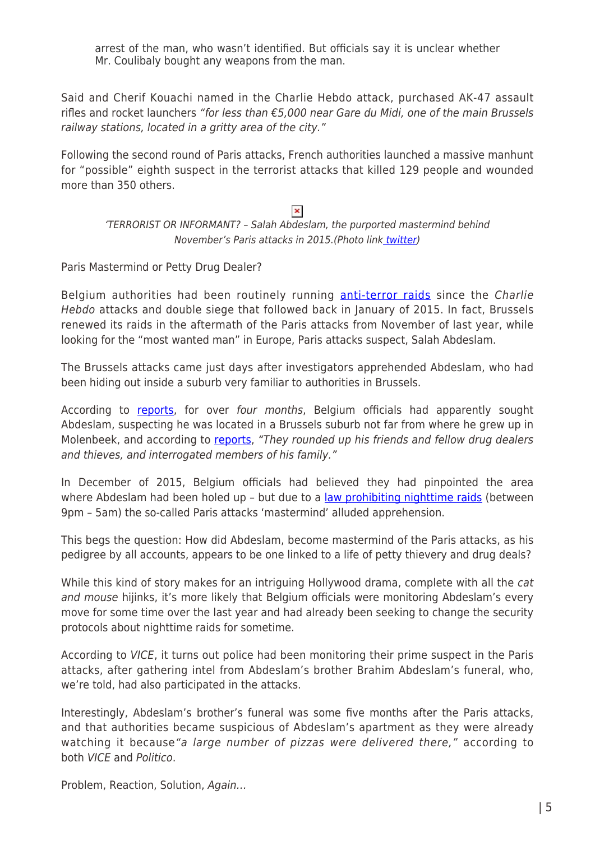arrest of the man, who wasn't identified. But officials say it is unclear whether Mr. Coulibaly bought any weapons from the man.

Said and Cherif Kouachi named in the Charlie Hebdo attack, purchased AK-47 assault rifles and rocket launchers "for less than  $\epsilon$ 5,000 near Gare du Midi, one of the main Brussels railway stations, located in a gritty area of the city."

Following the second round of Paris attacks, French authorities launched a massive manhunt for "possible" eighth suspect in the terrorist attacks that killed 129 people and wounded more than 350 others.

## $\pmb{\times}$

'TERRORIST OR INFORMANT? – Salah Abdeslam, the purported mastermind behind November's Paris attacks in 2015.(Photo lin[k twitter](https://pbs.twimg.com/media/CT4nyn7UEAElwrw.jpg:large))

Paris Mastermind or Petty Drug Dealer?

Belgium authorities had been routinely running **anti-terror raids** since the Charlie Hebdo attacks and double siege that followed back in January of 2015. In fact, Brussels renewed its raids in the aftermath of the Paris attacks from November of last year, while looking for the "most wanted man" in Europe, Paris attacks suspect, Salah Abdeslam.

The Brussels attacks came just days after investigators apprehended Abdeslam, who had been hiding out inside a suburb very familiar to authorities in Brussels.

According to [reports,](http://www.nytimes.com/2016/03/22/world/europe/arrest-salah-abdeslam-paris-suspect.html?_r=0) for over four months, Belgium officials had apparently sought Abdeslam, suspecting he was located in a Brussels suburb not far from where he grew up in Molenbeek, and according to [reports](http://www.nytimes.com/2016/03/22/world/europe/arrest-salah-abdeslam-paris-suspect.html?_r=0), "They rounded up his friends and fellow drug dealers and thieves, and interrogated members of his family."

In December of 2015, Belgium officials had believed they had pinpointed the area where Abdeslam had been holed up - but due to a [law prohibiting nighttime raids](http://www.nytimes.com/2015/12/17/world/europe/belgium-says-law-limiting-raids-may-have-allowed-suspect-in-paris-attacks-to-escape.html) (between 9pm – 5am) the so-called Paris attacks 'mastermind' alluded apprehension.

This begs the question: How did Abdeslam, become mastermind of the Paris attacks, as his pedigree by all accounts, appears to be one linked to a life of petty thievery and drug deals?

While this kind of story makes for an intriguing Hollywood drama, complete with all the cat and mouse hijinks, it's more likely that Belgium officials were monitoring Abdeslam's every move for some time over the last year and had already been seeking to change the security protocols about nighttime raids for sometime.

According to VICE, it turns out police had been monitoring their prime suspect in the Paris attacks, after gathering intel from Abdeslam's brother Brahim Abdeslam's funeral, who, we're told, had also participated in the attacks.

Interestingly, Abdeslam's brother's funeral was some five months after the Paris attacks, and that authorities became suspicious of Abdeslam's apartment as they were already watching it because "a large number of pizzas were delivered there," according to both VICE and Politico.

Problem, Reaction, Solution, Again…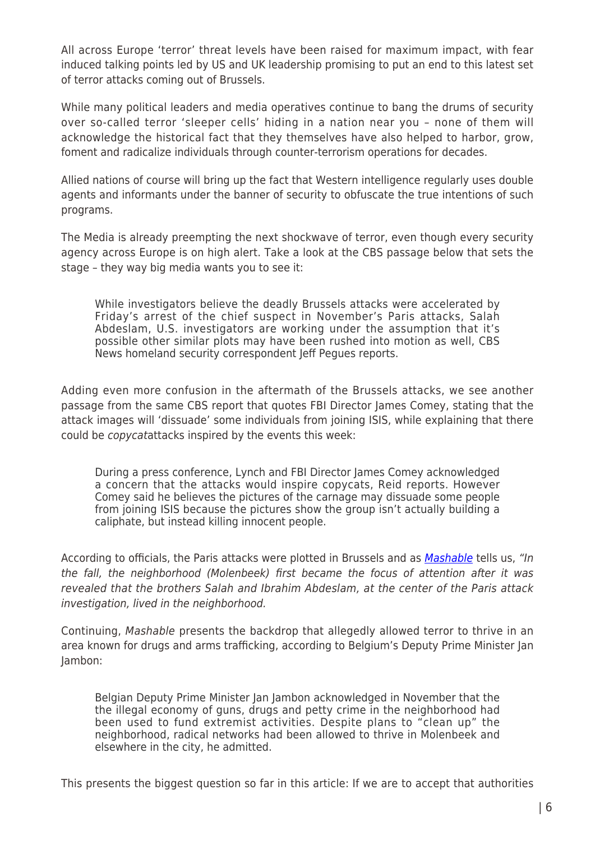All across Europe 'terror' threat levels have been raised for maximum impact, with fear induced talking points led by US and UK leadership promising to put an end to this latest set of terror attacks coming out of Brussels.

While many political leaders and media operatives continue to bang the drums of security over so-called terror 'sleeper cells' hiding in a nation near you – none of them will acknowledge the historical fact that they themselves have also helped to harbor, grow, foment and radicalize individuals through counter-terrorism operations for decades.

Allied nations of course will bring up the fact that Western intelligence regularly uses double agents and informants under the banner of security to obfuscate the true intentions of such programs.

The Media is already preempting the next shockwave of terror, even though every security agency across Europe is on high alert. Take a look at the CBS passage below that sets the stage – they way big media wants you to see it:

While investigators believe the deadly Brussels attacks were accelerated by Friday's arrest of the chief suspect in November's Paris attacks, Salah Abdeslam, U.S. investigators are working under the assumption that it's possible other similar plots may have been rushed into motion as well, CBS News homeland security correspondent Jeff Pegues reports.

Adding even more confusion in the aftermath of the Brussels attacks, we see another passage from the same CBS report that quotes FBI Director James Comey, stating that the attack images will 'dissuade' some individuals from joining ISIS, while explaining that there could be copycatattacks inspired by the events this week:

During a press conference, Lynch and FBI Director James Comey acknowledged a concern that the attacks would inspire copycats, Reid reports. However Comey said he believes the pictures of the carnage may dissuade some people from joining ISIS because the pictures show the group isn't actually building a caliphate, but instead killing innocent people.

According to officials, the Paris attacks were plotted in Brussels and as *[Mashable](http://mashable.com/2016/03/24/the-neighborhood-where-brussels-attackers-lived/#NKiqtP6Gluq8)* tells us, "In the fall, the neighborhood (Molenbeek) first became the focus of attention after it was revealed that the brothers Salah and Ibrahim Abdeslam, at the center of the Paris attack investigation, lived in the neighborhood.

Continuing, Mashable presents the backdrop that allegedly allowed terror to thrive in an area known for drugs and arms trafficking, according to Belgium's Deputy Prime Minister Jan Jambon:

Belgian Deputy Prime Minister Jan Jambon acknowledged in November that the the illegal economy of guns, drugs and petty crime in the neighborhood had been used to fund extremist activities. Despite plans to "clean up" the neighborhood, radical networks had been allowed to thrive in Molenbeek and elsewhere in the city, he admitted.

This presents the biggest question so far in this article: If we are to accept that authorities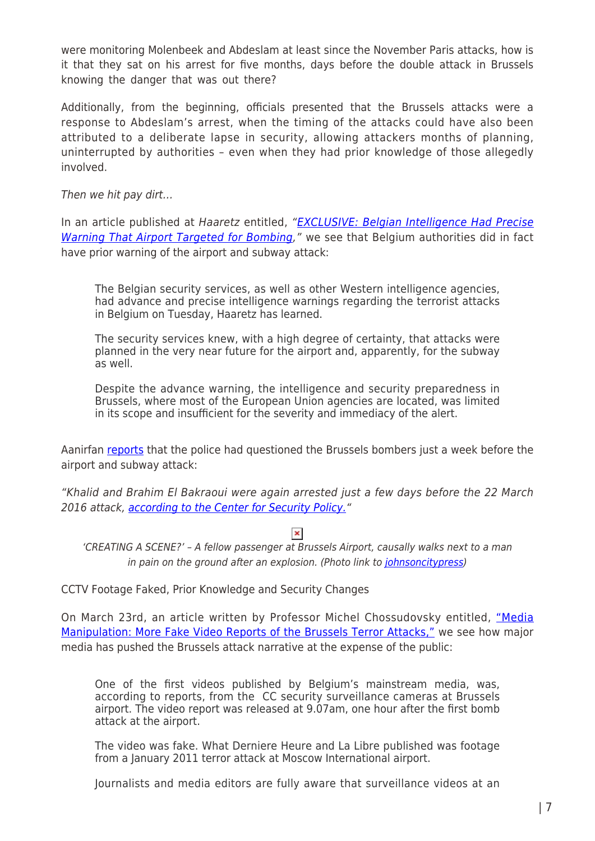were monitoring Molenbeek and Abdeslam at least since the November Paris attacks, how is it that they sat on his arrest for five months, days before the double attack in Brussels knowing the danger that was out there?

Additionally, from the beginning, officials presented that the Brussels attacks were a response to Abdeslam's arrest, when the timing of the attacks could have also been attributed to a deliberate lapse in security, allowing attackers months of planning, uninterrupted by authorities – even when they had prior knowledge of those allegedly involved.

Then we hit pay dirt…

In an article published at Haaretz entitled, "[EXCLUSIVE: Belgian Intelligence Had Precise](http://www.haaretz.com/world-news/1.710572) [Warning That Airport Targeted for Bombing](http://www.haaretz.com/world-news/1.710572)," we see that Belgium authorities did in fact have prior warning of the airport and subway attack:

The Belgian security services, as well as other Western intelligence agencies, had advance and precise intelligence warnings regarding the terrorist attacks in Belgium on Tuesday, Haaretz has learned.

The security services knew, with a high degree of certainty, that attacks were planned in the very near future for the airport and, apparently, for the subway as well.

Despite the advance warning, the intelligence and security preparedness in Brussels, where most of the European Union agencies are located, was limited in its scope and insufficient for the severity and immediacy of the alert.

Aanirfan [reports](http://aanirfan.blogspot.com/2016/01/terrorists-exposed.html) that the police had questioned the Brussels bombers just a week before the airport and subway attack:

"Khalid and Brahim El Bakraoui were again arrested just a few days before the 22 March 2016 attack, [according to the Center for Security Policy."](http://www.centerforsecuritypolicy.org/2016/03/16/shootout-turns-brussels-suburb-into-warzone/)

'CREATING A SCENE?' – A fellow passenger at Brussels Airport, causally walks next to a man in pain on the ground after an explosion. (Photo link to [johnsoncitypress\)](http://21stcenturywire.com/2016/03/25/brussels-terrordrome-masterminds-fake-cctv-footage-eu-funded-terror-drills-prior-knowledge/.johnsoncitypress.com/mediaFiles?type=image&url=/image/2016/03/22/Belgium-Attacks.jpg&caption=In%20this%20photo%20provided%20by%20Georgian%20Public%20Broadcaster%20and%20photographed%20by%20Ketevan%20Kardava,%20an%20injured%20man%20lies%20on%20the%20floor%20in%20Brussels%20Airport%20in%20Brussels,%20Belgium,%20after%20explosions%20were%20heard%20Tuesday,%20March%2022,%202016.%20A%20developing%20situation%20left%20a%20number%20dead%20in%20explosions%20that%20ripped%20through%20the%20departure%20hall%20at%20Brussels%20airport%20Tuesday,%20police%20said.%20All%20flights%20were%20canceled,%20arriving%20planes%20were%20being%20diverted%20and%20Belgium%27s%20terror%20alert%20level%20was%20raised%20to%20maximum,%20officials%20said.%20(Ketevan%20Kardava/%20Georgian%20Public%20Broadcaster%20via%20AP))

CCTV Footage Faked, Prior Knowledge and Security Changes

On March 23rd, an article written by Professor Michel Chossudovsky entitled, ["Media](http://www.globalresearch.ca/more-fake-video-reports-of-the-brussels-terror-attacks/5516074) [Manipulation: More Fake Video Reports of the Brussels Terror Attacks,"](http://www.globalresearch.ca/more-fake-video-reports-of-the-brussels-terror-attacks/5516074) we see how major media has pushed the Brussels attack narrative at the expense of the public:

One of the first videos published by Belgium's mainstream media, was, according to reports, from the CC security surveillance cameras at Brussels airport. The video report was released at 9.07am, one hour after the first bomb attack at the airport.

The video was fake. What Derniere Heure and La Libre published was footage from a January 2011 terror attack at Moscow International airport.

Journalists and media editors are fully aware that surveillance videos at an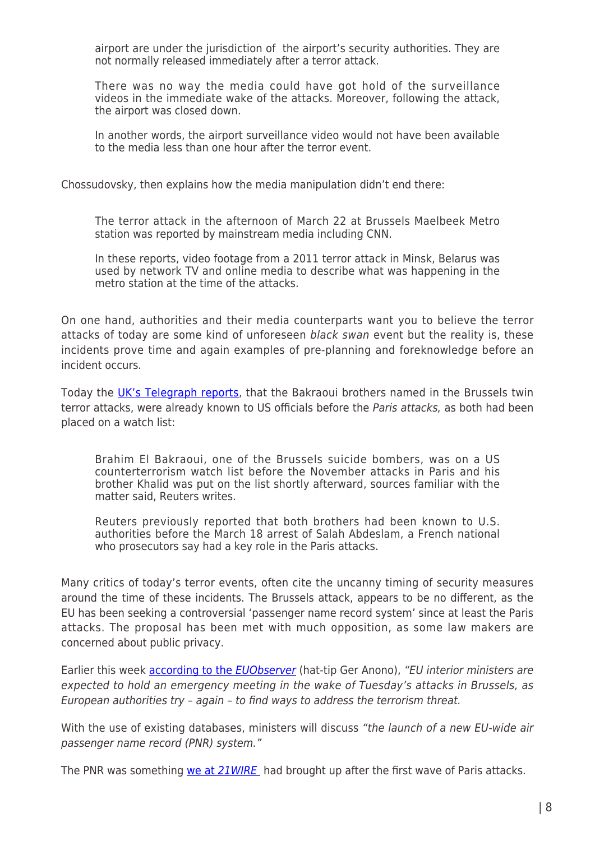airport are under the jurisdiction of the airport's security authorities. They are not normally released immediately after a terror attack.

There was no way the media could have got hold of the surveillance videos in the immediate wake of the attacks. Moreover, following the attack, the airport was closed down.

In another words, the airport surveillance video would not have been available to the media less than one hour after the terror event.

Chossudovsky, then explains how the media manipulation didn't end there:

The terror attack in the afternoon of March 22 at Brussels Maelbeek Metro station was reported by mainstream media including CNN.

In these reports, video footage from a 2011 terror attack in Minsk, Belarus was used by network TV and online media to describe what was happening in the metro station at the time of the attacks.

On one hand, authorities and their media counterparts want you to believe the terror attacks of today are some kind of unforeseen black swan event but the reality is, these incidents prove time and again examples of pre-planning and foreknowledge before an incident occurs.

Today the [UK's Telegraph reports,](http://www.telegraph.co.uk/news/worldnews/europe/belgium/12204399/Brussels-terror-attacks-metro-airport-suspects-live.html) that the Bakraoui brothers named in the Brussels twin terror attacks, were already known to US officials before the Paris attacks, as both had been placed on a watch list:

Brahim El Bakraoui, one of the Brussels suicide bombers, was on a US counterterrorism watch list before the November attacks in Paris and his brother Khalid was put on the list shortly afterward, sources familiar with the matter said, Reuters writes.

Reuters previously reported that both brothers had been known to U.S. authorities before the March 18 arrest of Salah Abdeslam, a French national who prosecutors say had a key role in the Paris attacks.

Many critics of today's terror events, often cite the uncanny timing of security measures around the time of these incidents. The Brussels attack, appears to be no different, as the EU has been seeking a controversial 'passenger name record system' since at least the Paris attacks. The proposal has been met with much opposition, as some law makers are concerned about public privacy.

Earlier this week **according to the [EUObserver](https://euobserver.com/justice/132782)** (hat-tip Ger Anono), "EU interior ministers are expected to hold an emergency meeting in the wake of Tuesday's attacks in Brussels, as European authorities try – again – to find ways to address the terrorism threat.

With the use of existing databases, ministers will discuss "the launch of a new EU-wide air passenger name record (PNR) system."

The PNR was something [we at](http://21stcenturywire.com/2015/01/18/full-throttle-anti-terror-raids-rolled-out-after-paris-attacks-expose-western-fraud/) [21WIRE](http://21stcenturywire.com/2015/01/18/full-throttle-anti-terror-raids-rolled-out-after-paris-attacks-expose-western-fraud/) had brought up after the first wave of Paris attacks.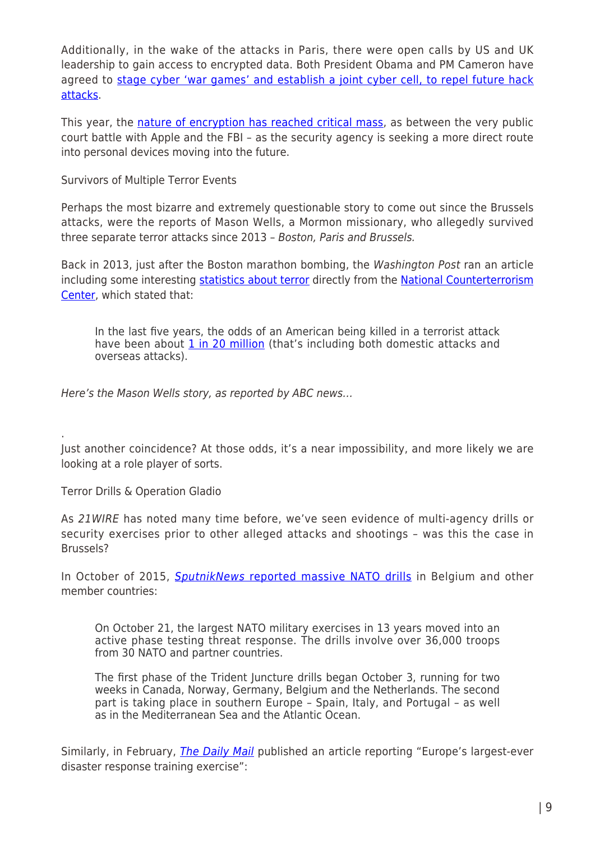Additionally, in the wake of the attacks in Paris, there were open calls by US and UK leadership to gain access to encrypted data. Both President Obama and PM Cameron have agreed to [stage cyber 'war games' and establish a joint cyber cell, to repel future hack](http://news.sky.com/story/1409435/uk-and-us-announce-joint-anti-terror-plans) [attacks](http://news.sky.com/story/1409435/uk-and-us-announce-joint-anti-terror-plans).

This year, the [nature of encryption has reached critical mass,](http://21stcenturywire.com/2016/03/03/battle-over-privacy-why-the-fbis-case-against-apple-is-falling-apart/) as between the very public court battle with Apple and the FBI – as the security agency is seeking a more direct route into personal devices moving into the future.

Survivors of Multiple Terror Events

Perhaps the most bizarre and extremely questionable story to come out since the Brussels attacks, were the reports of Mason Wells, a Mormon missionary, who allegedly survived three separate terror attacks since 2013 – Boston, Paris and Brussels.

Back in 2013, just after the Boston marathon bombing, the Washington Post ran an article including some interesting [statistics about terror](https://www.washingtonpost.com/news/wonk/wp/2013/04/16/eight-facts-about-terrorism-in-the-united-states/) directly from the [National Counterterrorism](http://www.nctc.gov/) [Center](http://www.nctc.gov/), which stated that:

In the last five years, the odds of an American being killed in a terrorist attack have been about [1 in 20 million](http://reason.com/archives/2011/09/06/how-scared-of-terrorism-should) (that's including both domestic attacks and overseas attacks).

Here's the Mason Wells story, as reported by ABC news…

Just another coincidence? At those odds, it's a near impossibility, and more likely we are looking at a role player of sorts.

Terror Drills & Operation Gladio

.

As 21WIRE has noted many time before, we've seen evidence of multi-agency drills or security exercises prior to other alleged attacks and shootings – was this the case in Brussels?

In October of 2015, **[SputnikNews](http://sputniknews.com/military/20151030/1029365598/nato-drills-europe-us.html) [reported massive NATO drills](http://sputniknews.com/military/20151030/1029365598/nato-drills-europe-us.html) in Belgium and other** member countries:

On October 21, the largest NATO military exercises in 13 years moved into an active phase testing threat response. The drills involve over 36,000 troops from 30 NATO and partner countries.

The first phase of the Trident Juncture drills began October 3, running for two weeks in Canada, Norway, Germany, Belgium and the Netherlands. The second part is taking place in southern Europe – Spain, Italy, and Portugal – as well as in the Mediterranean Sea and the Atlantic Ocean.

Similarly, in February, *[The Daily Mail](http://www.dailymail.co.uk/news/article-3469066/Dead-bodies-strewn-tube-trains-tower-block-collapses-station-emergency-services-carry-drill-Europe-s-biggest-disaster-response.html#ixzz43p0HlEVW)* published an article reporting "Europe's largest-ever disaster response training exercise":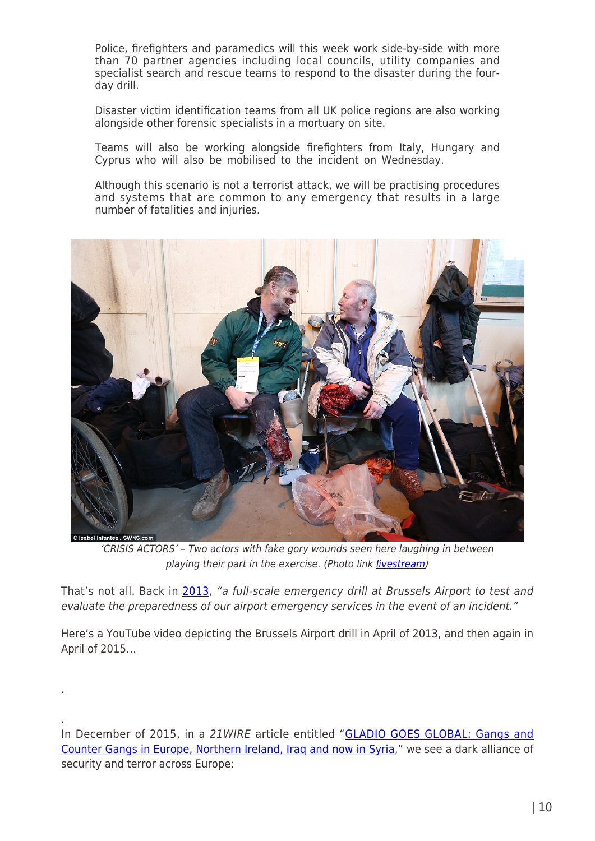Police, firefighters and paramedics will this week work side-by-side with more than 70 partner agencies including local councils, utility companies and specialist search and rescue teams to respond to the disaster during the fourday drill.

Disaster victim identification teams from all UK police regions are also working alongside other forensic specialists in a mortuary on site.

Teams will also be working alongside firefighters from Italy, Hungary and Cyprus who will also be mobilised to the incident on Wednesday.

Although this scenario is not a terrorist attack, we will be practising procedures and systems that are common to any emergency that results in a large number of fatalities and injuries.



'CRISIS ACTORS' – Two actors with fake gory wounds seen here laughing in between playing their part in the exercise. (Photo link [livestream\)](http://img.new.livestream.com/events/00000000004a3d08/720d52d1-8c92-4301-99f2-3feba4d5610d.jpg)

That's not all. Back in [2013](https://www.youtube.com/watch?v=OEWEy8bxzCc), "a full-scale emergency drill at Brussels Airport to test and evaluate the preparedness of our airport emergency services in the event of an incident."

Here's a YouTube video depicting the Brussels Airport drill in April of 2013, and then again in April of 2015…

.

.

In December of 2015, in a 21WIRE article entitled ["GLADIO GOES GLOBAL: Gangs and](http://21stcenturywire.com/2015/12/14/gladio-global-gangs-and-counter-gangs-in-europe-ireland-iraq-and-now-in-syria/) [Counter Gangs in Europe, Northern Ireland, Iraq and now in Syria](http://21stcenturywire.com/2015/12/14/gladio-global-gangs-and-counter-gangs-in-europe-ireland-iraq-and-now-in-syria/)," we see a dark alliance of security and terror across Europe: